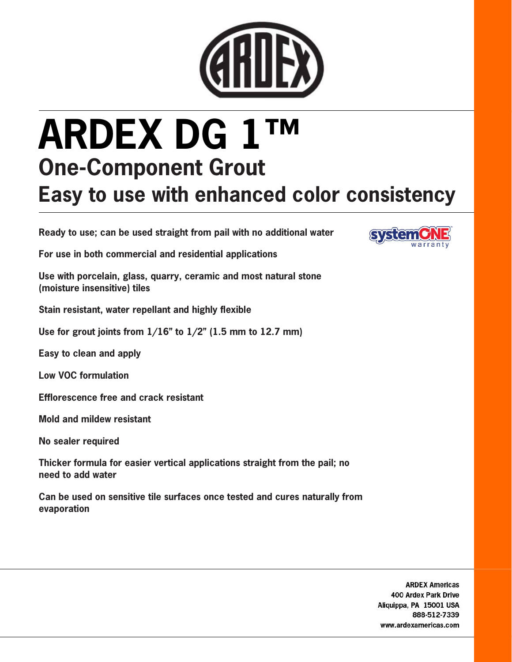

## ARDEX DG 1™ One-Component Grout Easy to use with enhanced color consistency

Ready to use; can be used straight from pail with no additional water



For use in both commercial and residential applications

Use with porcelain, glass, quarry, ceramic and most natural stone (moisture insensitive) tiles

Stain resistant, water repellant and highly flexible

Use for grout joints from  $1/16$ " to  $1/2$ " (1.5 mm to 12.7 mm)

Easy to clean and apply

Low VOC formulation

Efflorescence free and crack resistant

Mold and mildew resistant

No sealer required

Thicker formula for easier vertical applications straight from the pail; no need to add water

Can be used on sensitive tile surfaces once tested and cures naturally from evaporation

> **ARDEX Americas** 400 Ardex Park Drive Aliquippa, PA 15001 USA 888-512-7339 www.ardexamericas.com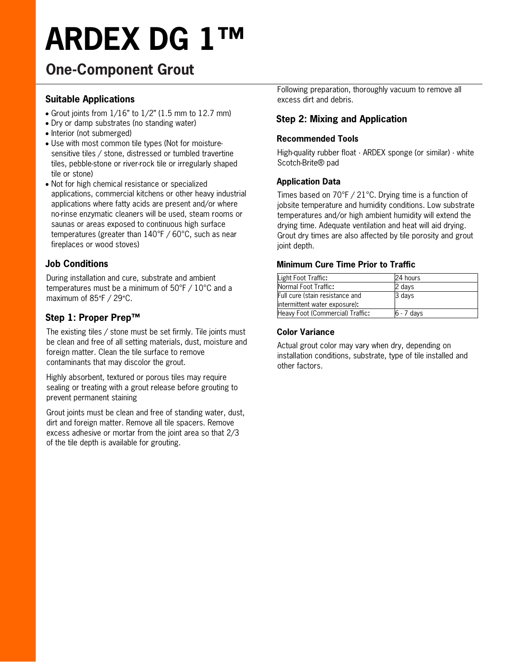# ARDEX DG 1™

### One-Component Grout

#### Suitable Applications

- Grout joints from  $1/16$ " to  $1/2$ " (1.5 mm to 12.7 mm)
- Dry or damp substrates (no standing water)
- Interior (not submerged)
- Use with most common tile types (Not for moisturesensitive tiles / stone, distressed or tumbled travertine tiles, pebble-stone or river-rock tile or irregularly shaped tile or stone)
- Not for high chemical resistance or specialized applications, commercial kitchens or other heavy industrial applications where fatty acids are present and/or where no-rinse enzymatic cleaners will be used, steam rooms or saunas or areas exposed to continuous high surface temperatures (greater than 140°F / 60°C, such as near fireplaces or wood stoves)

#### Job Conditions

During installation and cure, substrate and ambient temperatures must be a minimum of 50°F / 10°C and a maximum of 85°F / 29°C.

#### Step 1: Proper Prep™

The existing tiles / stone must be set firmly. Tile joints must be clean and free of all setting materials, dust, moisture and foreign matter. Clean the tile surface to remove contaminants that may discolor the grout.

Highly absorbent, textured or porous tiles may require sealing or treating with a grout release before grouting to prevent permanent staining

Grout joints must be clean and free of standing water, dust, dirt and foreign matter. Remove all tile spacers. Remove excess adhesive or mortar from the joint area so that 2/3 of the tile depth is available for grouting.

Following preparation, thoroughly vacuum to remove all excess dirt and debris.

#### Step 2: Mixing and Application

#### Recommended Tools

High-quality rubber float · ARDEX sponge (or similar) · white Scotch-Brite® pad

#### Application Data

Times based on 70°F / 21°C. Drying time is a function of jobsite temperature and humidity conditions. Low substrate temperatures and/or high ambient humidity will extend the drying time. Adequate ventilation and heat will aid drying. Grout dry times are also affected by tile porosity and grout joint depth.

#### Minimum Cure Time Prior to Traffic

| Light Foot Traffic:              | 24 hours   |
|----------------------------------|------------|
| Normal Foot Traffic:             | 2 days     |
| Full cure (stain resistance and  | 3 days     |
| intermittent water exposure):    |            |
| Heavy Foot (Commercial) Traffic: | 6 - 7 days |

#### Color Variance

Actual grout color may vary when dry, depending on installation conditions, substrate, type of tile installed and other factors.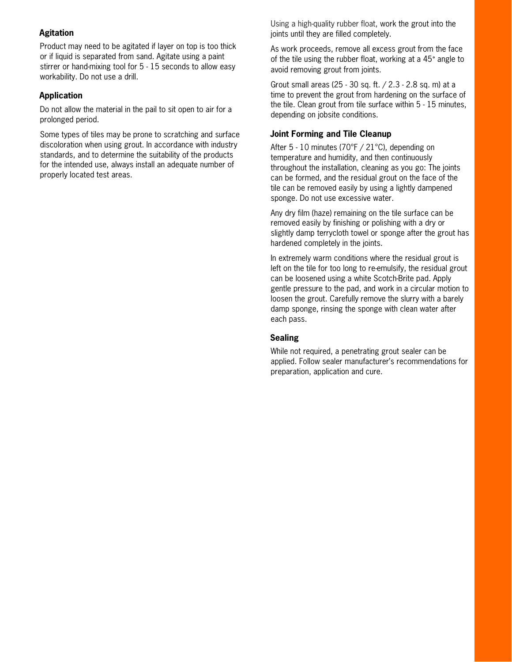#### Agitation

Product may need to be agitated if layer on top is too thick or if liquid is separated from sand. Agitate using a paint stirrer or hand-mixing tool for 5 - 15 seconds to allow easy workability. Do not use a drill.

#### Application

Do not allow the material in the pail to sit open to air for a prolonged period.

Some types of tiles may be prone to scratching and surface discoloration when using grout. In accordance with industry standards, and to determine the suitability of the products for the intended use, always install an adequate number of properly located test areas.

Using a high-quality rubber float, work the grout into the joints until they are filled completely.

As work proceeds, remove all excess grout from the face of the tile using the rubber float, working at a 45° angle to avoid removing grout from joints.

Grout small areas (25 - 30 sq. ft. / 2.3 - 2.8 sq. m) at a time to prevent the grout from hardening on the surface of the tile. Clean grout from tile surface within 5 - 15 minutes, depending on jobsite conditions.

#### Joint Forming and Tile Cleanup

After 5 - 10 minutes (70°F / 21°C), depending on temperature and humidity, and then continuously throughout the installation, cleaning as you go: The joints can be formed, and the residual grout on the face of the tile can be removed easily by using a lightly dampened sponge. Do not use excessive water.

Any dry film (haze) remaining on the tile surface can be removed easily by finishing or polishing with a dry or slightly damp terrycloth towel or sponge after the grout has hardened completely in the joints.

In extremely warm conditions where the residual grout is left on the tile for too long to re-emulsify, the residual grout can be loosened using a white Scotch-Brite pad. Apply gentle pressure to the pad, and work in a circular motion to loosen the grout. Carefully remove the slurry with a barely damp sponge, rinsing the sponge with clean water after each pass.

#### Sealing

While not required, a penetrating grout sealer can be applied. Follow sealer manufacturer's recommendations for preparation, application and cure.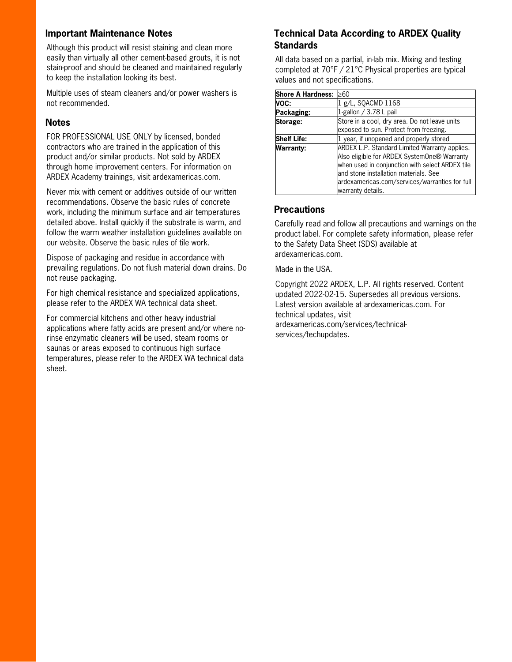#### Important Maintenance Notes

Although this product will resist staining and clean more easily than virtually all other cement-based grouts, it is not stain-proof and should be cleaned and maintained regularly to keep the installation looking its best.

Multiple uses of steam cleaners and/or power washers is not recommended.

#### **Notes**

FOR PROFESSIONAL USE ONLY by licensed, bonded contractors who are trained in the application of this product and/or similar products. Not sold by ARDEX through home improvement centers. For information on ARDEX Academy trainings, visit ardexamericas.com.

Never mix with cement or additives outside of our written recommendations. Observe the basic rules of concrete work, including the minimum surface and air temperatures detailed above. Install quickly if the substrate is warm, and follow the warm weather installation guidelines available on our website. Observe the basic rules of tile work.

Dispose of packaging and residue in accordance with prevailing regulations. Do not flush material down drains. Do not reuse packaging.

For high chemical resistance and specialized applications, please refer to the ARDEX WA technical data sheet.

For commercial kitchens and other heavy industrial applications where fatty acids are present and/or where norinse enzymatic cleaners will be used, steam rooms or saunas or areas exposed to continuous high surface temperatures, please refer to the ARDEX WA technical data sheet.

#### Technical Data According to ARDEX Quality **Standards**

All data based on a partial, in-lab mix. Mixing and testing completed at 70°F / 21°C Physical properties are typical values and not specifications.

| <b>Shore A Hardness:</b> | ≥60                                             |
|--------------------------|-------------------------------------------------|
| VOC:                     | 1 g/L, SQACMD 1168                              |
| Packaging:               | 1-gallon $/$ 3.78 L pail                        |
| Storage:                 | Store in a cool, dry area. Do not leave units   |
|                          | exposed to sun. Protect from freezing.          |
| <b>Shelf Life:</b>       | 1 year, if unopened and properly stored         |
| <b>Warranty:</b>         | ARDEX L.P. Standard Limited Warranty applies.   |
|                          | Also eligible for ARDEX SystemOne® Warranty     |
|                          | when used in conjunction with select ARDEX tile |
|                          | and stone installation materials. See           |
|                          | ardexamericas.com/services/warranties for full  |
|                          | warranty details.                               |

#### **Precautions**

Carefully read and follow all precautions and warnings on the product label. For complete safety information, please refer to the Safety Data Sheet (SDS) available at ardexamericas.com.

Made in the USA.

Copyright 2022 ARDEX, L.P. All rights reserved. Content updated 2022-02-15. Supersedes all previous versions. Latest version available at ardexamericas.com. For technical updates, visit ardexamericas.com/services/technicalservices/techupdates.